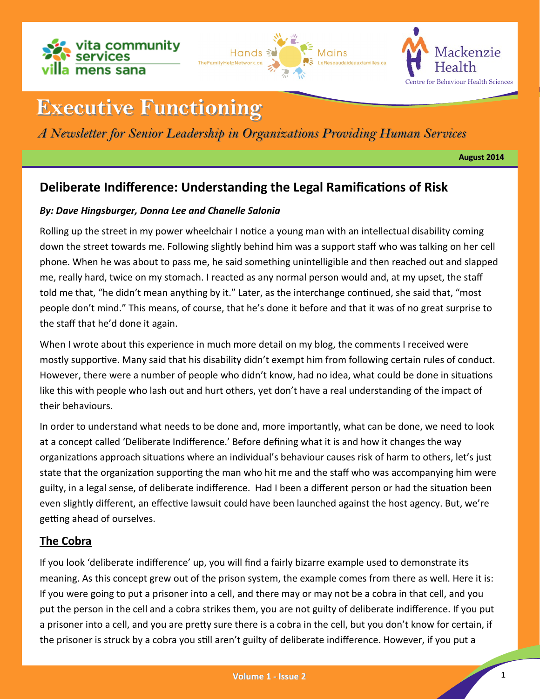





# **Executive Functioning**

# *A Newsletter for Senior Leadership in Organizations Providing Human Services*

**August 2014**

# **Deliberate Indifference: Understanding the Legal Ramifications of Risk**

### *By: Dave Hingsburger, Donna Lee and Chanelle Salonia*

Rolling up the street in my power wheelchair I notice a young man with an intellectual disability coming down the street towards me. Following slightly behind him was a support staff who was talking on her cell phone. When he was about to pass me, he said something unintelligible and then reached out and slapped me, really hard, twice on my stomach. I reacted as any normal person would and, at my upset, the staff told me that, "he didn't mean anything by it." Later, as the interchange continued, she said that, "most people don't mind." This means, of course, that he's done it before and that it was of no great surprise to the staff that he'd done it again.

When I wrote about this experience in much more detail on my blog, the comments I received were mostly supportive. Many said that his disability didn't exempt him from following certain rules of conduct. However, there were a number of people who didn't know, had no idea, what could be done in situations like this with people who lash out and hurt others, yet don't have a real understanding of the impact of their behaviours.

In order to understand what needs to be done and, more importantly, what can be done, we need to look at a concept called 'Deliberate Indifference.' Before defining what it is and how it changes the way organizations approach situations where an individual's behaviour causes risk of harm to others, let's just state that the organization supporting the man who hit me and the staff who was accompanying him were guilty, in a legal sense, of deliberate indifference. Had I been a different person or had the situation been even slightly different, an effective lawsuit could have been launched against the host agency. But, we're getting ahead of ourselves.

# **The Cobra**

If you look 'deliberate indifference' up, you will find a fairly bizarre example used to demonstrate its meaning. As this concept grew out of the prison system, the example comes from there as well. Here it is: If you were going to put a prisoner into a cell, and there may or may not be a cobra in that cell, and you put the person in the cell and a cobra strikes them, you are not guilty of deliberate indifference. If you put a prisoner into a cell, and you are pretty sure there is a cobra in the cell, but you don't know for certain, if the prisoner is struck by a cobra you still aren't guilty of deliberate indifference. However, if you put a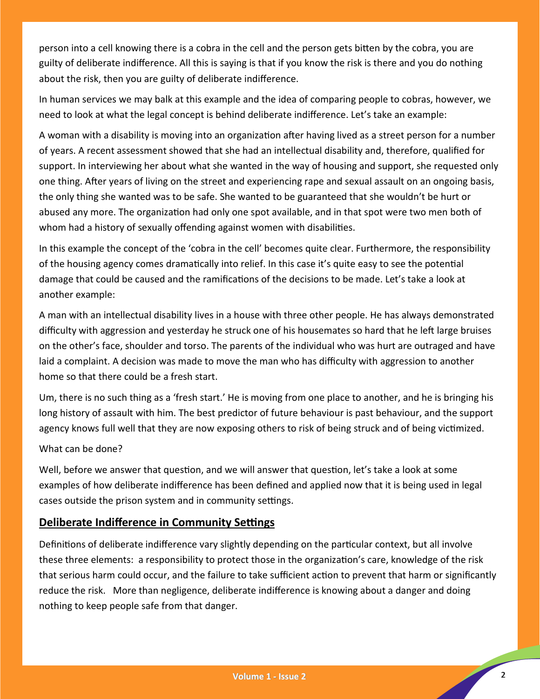person into a cell knowing there is a cobra in the cell and the person gets bitten by the cobra, you are guilty of deliberate indifference. All this is saying is that if you know the risk is there and you do nothing about the risk, then you are guilty of deliberate indifference.

In human services we may balk at this example and the idea of comparing people to cobras, however, we need to look at what the legal concept is behind deliberate indifference. Let's take an example:

A woman with a disability is moving into an organization after having lived as a street person for a number of years. A recent assessment showed that she had an intellectual disability and, therefore, qualified for support. In interviewing her about what she wanted in the way of housing and support, she requested only one thing. After years of living on the street and experiencing rape and sexual assault on an ongoing basis, the only thing she wanted was to be safe. She wanted to be guaranteed that she wouldn't be hurt or abused any more. The organization had only one spot available, and in that spot were two men both of whom had a history of sexually offending against women with disabilities.

In this example the concept of the 'cobra in the cell' becomes quite clear. Furthermore, the responsibility of the housing agency comes dramatically into relief. In this case it's quite easy to see the potential damage that could be caused and the ramifications of the decisions to be made. Let's take a look at another example:

A man with an intellectual disability lives in a house with three other people. He has always demonstrated difficulty with aggression and yesterday he struck one of his housemates so hard that he left large bruises on the other's face, shoulder and torso. The parents of the individual who was hurt are outraged and have laid a complaint. A decision was made to move the man who has difficulty with aggression to another home so that there could be a fresh start.

Um, there is no such thing as a 'fresh start.' He is moving from one place to another, and he is bringing his long history of assault with him. The best predictor of future behaviour is past behaviour, and the support agency knows full well that they are now exposing others to risk of being struck and of being victimized.

#### What can be done?

Well, before we answer that question, and we will answer that question, let's take a look at some examples of how deliberate indifference has been defined and applied now that it is being used in legal cases outside the prison system and in community settings.

#### **Deliberate Indifference in Community Settings**

Definitions of deliberate indifference vary slightly depending on the particular context, but all involve these three elements: a responsibility to protect those in the organization's care, knowledge of the risk that serious harm could occur, and the failure to take sufficient action to prevent that harm or significantly reduce the risk. More than negligence, deliberate indifference is knowing about a danger and doing nothing to keep people safe from that danger.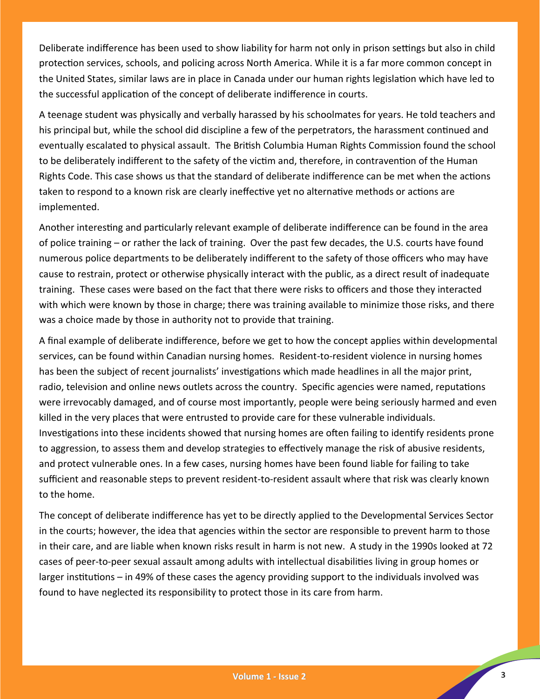Deliberate indifference has been used to show liability for harm not only in prison settings but also in child protection services, schools, and policing across North America. While it is a far more common concept in the United States, similar laws are in place in Canada under our human rights legislation which have led to the successful application of the concept of deliberate indifference in courts.

A teenage student was physically and verbally harassed by his schoolmates for years. He told teachers and his principal but, while the school did discipline a few of the perpetrators, the harassment continued and eventually escalated to physical assault. The British Columbia Human Rights Commission found the school to be deliberately indifferent to the safety of the victim and, therefore, in contravention of the Human Rights Code. This case shows us that the standard of deliberate indifference can be met when the actions taken to respond to a known risk are clearly ineffective yet no alternative methods or actions are implemented.

Another interesting and particularly relevant example of deliberate indifference can be found in the area of police training – or rather the lack of training. Over the past few decades, the U.S. courts have found numerous police departments to be deliberately indifferent to the safety of those officers who may have cause to restrain, protect or otherwise physically interact with the public, as a direct result of inadequate training. These cases were based on the fact that there were risks to officers and those they interacted with which were known by those in charge; there was training available to minimize those risks, and there was a choice made by those in authority not to provide that training.

A final example of deliberate indifference, before we get to how the concept applies within developmental services, can be found within Canadian nursing homes. Resident-to-resident violence in nursing homes has been the subject of recent journalists' investigations which made headlines in all the major print, radio, television and online news outlets across the country. Specific agencies were named, reputations were irrevocably damaged, and of course most importantly, people were being seriously harmed and even killed in the very places that were entrusted to provide care for these vulnerable individuals. Investigations into these incidents showed that nursing homes are often failing to identify residents prone to aggression, to assess them and develop strategies to effectively manage the risk of abusive residents, and protect vulnerable ones. In a few cases, nursing homes have been found liable for failing to take sufficient and reasonable steps to prevent resident-to-resident assault where that risk was clearly known to the home.

The concept of deliberate indifference has yet to be directly applied to the Developmental Services Sector in the courts; however, the idea that agencies within the sector are responsible to prevent harm to those in their care, and are liable when known risks result in harm is not new. A study in the 1990s looked at 72 cases of peer-to-peer sexual assault among adults with intellectual disabilities living in group homes or larger institutions – in 49% of these cases the agency providing support to the individuals involved was found to have neglected its responsibility to protect those in its care from harm.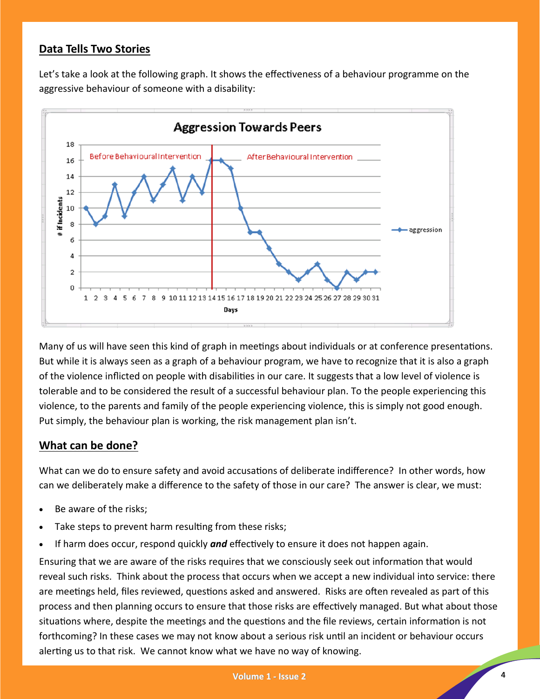# **Data Tells Two Stories**

Let's take a look at the following graph. It shows the effectiveness of a behaviour programme on the aggressive behaviour of someone with a disability:



Many of us will have seen this kind of graph in meetings about individuals or at conference presentations. But while it is always seen as a graph of a behaviour program, we have to recognize that it is also a graph of the violence inflicted on people with disabilities in our care. It suggests that a low level of violence is tolerable and to be considered the result of a successful behaviour plan. To the people experiencing this violence, to the parents and family of the people experiencing violence, this is simply not good enough. Put simply, the behaviour plan is working, the risk management plan isn't.

#### **What can be done?**

What can we do to ensure safety and avoid accusations of deliberate indifference? In other words, how can we deliberately make a difference to the safety of those in our care? The answer is clear, we must:

- Be aware of the risks;
- Take steps to prevent harm resulting from these risks;
- If harm does occur, respond quickly *and* effectively to ensure it does not happen again.

Ensuring that we are aware of the risks requires that we consciously seek out information that would reveal such risks. Think about the process that occurs when we accept a new individual into service: there are meetings held, files reviewed, questions asked and answered. Risks are often revealed as part of this process and then planning occurs to ensure that those risks are effectively managed. But what about those situations where, despite the meetings and the questions and the file reviews, certain information is not forthcoming? In these cases we may not know about a serious risk until an incident or behaviour occurs alerting us to that risk. We cannot know what we have no way of knowing.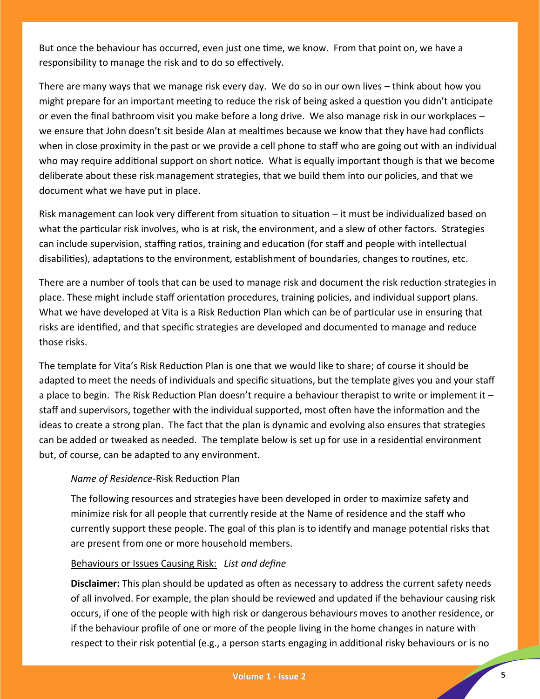But once the behaviour has occurred, even just one time, we know. From that point on, we have a responsibility to manage the risk and to do so effectively.

There are many ways that we manage risk every day. We do so in our own lives – think about how you might prepare for an important meeting to reduce the risk of being asked a question you didn't anticipate or even the final bathroom visit you make before a long drive. We also manage risk in our workplaces – we ensure that John doesn't sit beside Alan at mealtimes because we know that they have had conflicts when in close proximity in the past or we provide a cell phone to staff who are going out with an individual who may require additional support on short notice. What is equally important though is that we become deliberate about these risk management strategies, that we build them into our policies, and that we document what we have put in place.

Risk management can look very different from situation to situation – it must be individualized based on what the particular risk involves, who is at risk, the environment, and a slew of other factors. Strategies can include supervision, staffing ratios, training and education (for staff and people with intellectual disabilities), adaptations to the environment, establishment of boundaries, changes to routines, etc.

There are a number of tools that can be used to manage risk and document the risk reduction strategies in place. These might include staff orientation procedures, training policies, and individual support plans. What we have developed at Vita is a Risk Reduction Plan which can be of particular use in ensuring that risks are identified, and that specific strategies are developed and documented to manage and reduce those risks.

The template for Vita's Risk Reduction Plan is one that we would like to share; of course it should be adapted to meet the needs of individuals and specific situations, but the template gives you and your staff a place to begin. The Risk Reduction Plan doesn't require a behaviour therapist to write or implement it – staff and supervisors, together with the individual supported, most often have the information and the ideas to create a strong plan. The fact that the plan is dynamic and evolving also ensures that strategies can be added or tweaked as needed. The template below is set up for use in a residential environment but, of course, can be adapted to any environment.

#### *Name of Residence*-Risk Reduction Plan

The following resources and strategies have been developed in order to maximize safety and minimize risk for all people that currently reside at the Name of residence and the staff who currently support these people. The goal of this plan is to identify and manage potential risks that are present from one or more household members.

#### Behaviours or Issues Causing Risk: *List and define*

**Disclaimer:** This plan should be updated as often as necessary to address the current safety needs of all involved. For example, the plan should be reviewed and updated if the behaviour causing risk occurs, if one of the people with high risk or dangerous behaviours moves to another residence, or if the behaviour profile of one or more of the people living in the home changes in nature with respect to their risk potential (e.g., a person starts engaging in additional risky behaviours or is no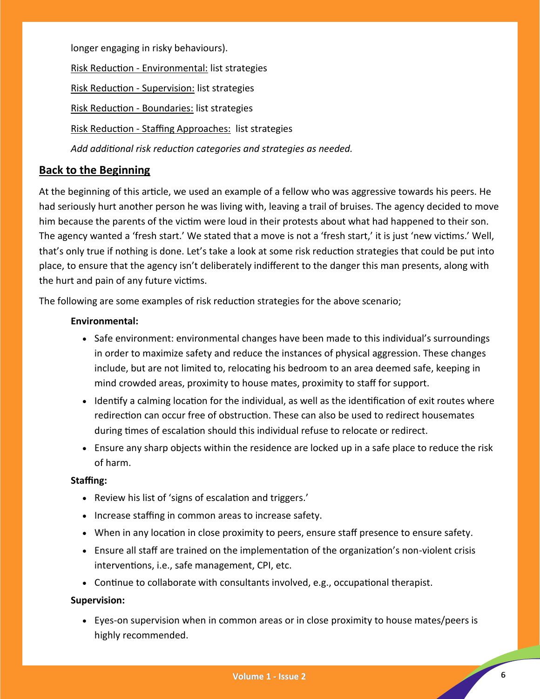longer engaging in risky behaviours). Risk Reduction - Environmental: list strategies Risk Reduction - Supervision: list strategies Risk Reduction - Boundaries: list strategies Risk Reduction - Staffing Approaches: list strategies *Add additional risk reduction categories and strategies as needed.*

# **Back to the Beginning**

At the beginning of this article, we used an example of a fellow who was aggressive towards his peers. He had seriously hurt another person he was living with, leaving a trail of bruises. The agency decided to move him because the parents of the victim were loud in their protests about what had happened to their son. The agency wanted a 'fresh start.' We stated that a move is not a 'fresh start,' it is just 'new victims.' Well, that's only true if nothing is done. Let's take a look at some risk reduction strategies that could be put into place, to ensure that the agency isn't deliberately indifferent to the danger this man presents, along with the hurt and pain of any future victims.

The following are some examples of risk reduction strategies for the above scenario;

#### **Environmental:**

- Safe environment: environmental changes have been made to this individual's surroundings in order to maximize safety and reduce the instances of physical aggression. These changes include, but are not limited to, relocating his bedroom to an area deemed safe, keeping in mind crowded areas, proximity to house mates, proximity to staff for support.
- $\bullet$  Identify a calming location for the individual, as well as the identification of exit routes where redirection can occur free of obstruction. These can also be used to redirect housemates during times of escalation should this individual refuse to relocate or redirect.
- Ensure any sharp objects within the residence are locked up in a safe place to reduce the risk of harm.

#### **Staffing:**

- Review his list of 'signs of escalation and triggers.'
- Increase staffing in common areas to increase safety.
- When in any location in close proximity to peers, ensure staff presence to ensure safety.
- Ensure all staff are trained on the implementation of the organization's non-violent crisis interventions, i.e., safe management, CPI, etc.
- Continue to collaborate with consultants involved, e.g., occupational therapist.

#### **Supervision:**

 Eyes-on supervision when in common areas or in close proximity to house mates/peers is highly recommended.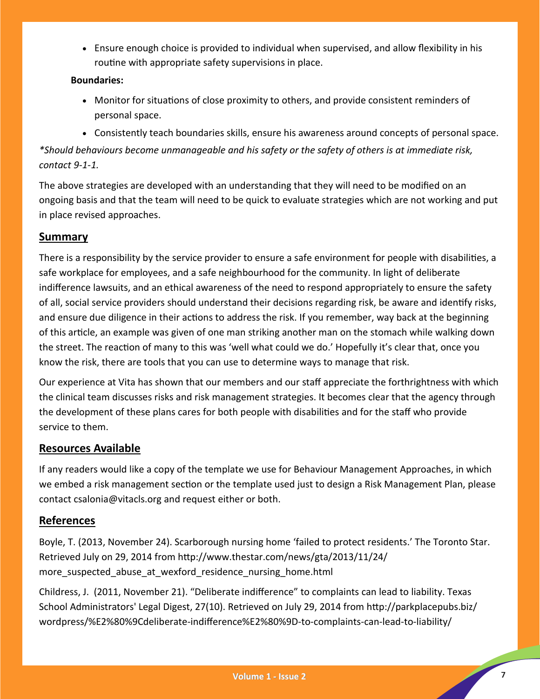Ensure enough choice is provided to individual when supervised, and allow flexibility in his routine with appropriate safety supervisions in place.

#### **Boundaries:**

- Monitor for situations of close proximity to others, and provide consistent reminders of personal space.
- Consistently teach boundaries skills, ensure his awareness around concepts of personal space. *\*Should behaviours become unmanageable and his safety or the safety of others is at immediate risk, contact 9-1-1.*

The above strategies are developed with an understanding that they will need to be modified on an ongoing basis and that the team will need to be quick to evaluate strategies which are not working and put in place revised approaches.

# **Summary**

There is a responsibility by the service provider to ensure a safe environment for people with disabilities, a safe workplace for employees, and a safe neighbourhood for the community. In light of deliberate indifference lawsuits, and an ethical awareness of the need to respond appropriately to ensure the safety of all, social service providers should understand their decisions regarding risk, be aware and identify risks, and ensure due diligence in their actions to address the risk. If you remember, way back at the beginning of this article, an example was given of one man striking another man on the stomach while walking down the street. The reaction of many to this was 'well what could we do.' Hopefully it's clear that, once you know the risk, there are tools that you can use to determine ways to manage that risk.

Our experience at Vita has shown that our members and our staff appreciate the forthrightness with which the clinical team discusses risks and risk management strategies. It becomes clear that the agency through the development of these plans cares for both people with disabilities and for the staff who provide service to them.

# **Resources Available**

If any readers would like a copy of the template we use for Behaviour Management Approaches, in which we embed a risk management section or the template used just to design a Risk Management Plan, please contact csalonia@vitacls.org and request either or both.

# **References**

Boyle, T. (2013, November 24). Scarborough nursing home 'failed to protect residents.' The Toronto Star. Retrieved July on 29, 2014 from http://www.thestar.com/news/gta/2013/11/24/ more suspected abuse at wexford residence nursing home.html

Childress, J. (2011, November 21). "Deliberate indifference" to complaints can lead to liability. Texas School Administrators' Legal Digest, 27(10). Retrieved on July 29, 2014 from http://parkplacepubs.biz/ wordpress/%E2%80%9Cdeliberate-indifference%E2%80%9D-to-complaints-can-lead-to-liability/